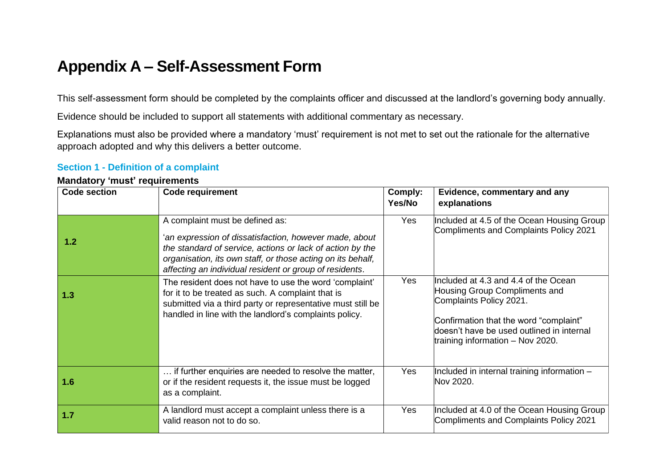# **Appendix A – Self-Assessment Form**

This self-assessment form should be completed by the complaints officer and discussed at the landlord's governing body annually.

Evidence should be included to support all statements with additional commentary as necessary.

Explanations must also be provided where a mandatory 'must' requirement is not met to set out the rationale for the alternative approach adopted and why this delivers a better outcome.

### **Section 1 - Definition of a complaint**

| <b>Code section</b> | <b>Code requirement</b>                                                                                                                                                                                                                                                          | Comply:<br>Yes/No | Evidence, commentary and any<br>explanations                                                                                                                                                                                  |
|---------------------|----------------------------------------------------------------------------------------------------------------------------------------------------------------------------------------------------------------------------------------------------------------------------------|-------------------|-------------------------------------------------------------------------------------------------------------------------------------------------------------------------------------------------------------------------------|
| 1.2                 | A complaint must be defined as:<br>'an expression of dissatisfaction, however made, about<br>the standard of service, actions or lack of action by the<br>organisation, its own staff, or those acting on its behalf,<br>affecting an individual resident or group of residents. | <b>Yes</b>        | Included at 4.5 of the Ocean Housing Group<br>Compliments and Complaints Policy 2021                                                                                                                                          |
| 1.3                 | The resident does not have to use the word 'complaint'<br>for it to be treated as such. A complaint that is<br>submitted via a third party or representative must still be<br>handled in line with the landlord's complaints policy.                                             | <b>Yes</b>        | Included at 4.3 and 4.4 of the Ocean<br>Housing Group Compliments and<br>Complaints Policy 2021.<br>Confirmation that the word "complaint"<br>doesn't have be used outlined in internal<br>training information $-$ Nov 2020. |
| 1.6                 | if further enquiries are needed to resolve the matter,<br>or if the resident requests it, the issue must be logged<br>as a complaint.                                                                                                                                            | <b>Yes</b>        | Included in internal training information -<br>Nov 2020.                                                                                                                                                                      |
| 1.7                 | A landlord must accept a complaint unless there is a<br>valid reason not to do so.                                                                                                                                                                                               | Yes               | Included at 4.0 of the Ocean Housing Group<br>Compliments and Complaints Policy 2021                                                                                                                                          |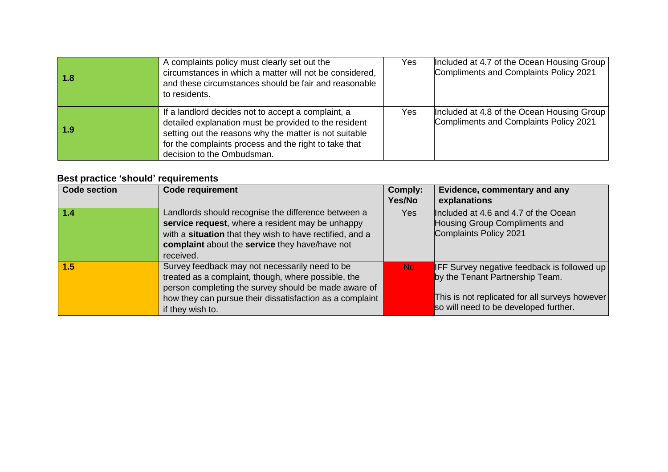| 1.8 | A complaints policy must clearly set out the<br>circumstances in which a matter will not be considered,<br>and these circumstances should be fair and reasonable<br>to residents.                                                                            | Yes | Included at 4.7 of the Ocean Housing Group<br>Compliments and Complaints Policy 2021 |
|-----|--------------------------------------------------------------------------------------------------------------------------------------------------------------------------------------------------------------------------------------------------------------|-----|--------------------------------------------------------------------------------------|
| 1.9 | If a landlord decides not to accept a complaint, a<br>detailed explanation must be provided to the resident<br>setting out the reasons why the matter is not suitable<br>for the complaints process and the right to take that<br>decision to the Ombudsman. | Yes | Included at 4.8 of the Ocean Housing Group<br>Compliments and Complaints Policy 2021 |

| <b>Code section</b> | <b>Code requirement</b>                                                                                                                                                                                                                       | <b>Comply:</b><br>Yes/No | Evidence, commentary and any<br>explanations                                                                                                                                     |
|---------------------|-----------------------------------------------------------------------------------------------------------------------------------------------------------------------------------------------------------------------------------------------|--------------------------|----------------------------------------------------------------------------------------------------------------------------------------------------------------------------------|
| 1.4                 | Landlords should recognise the difference between a<br>service request, where a resident may be unhappy<br>with a situation that they wish to have rectified, and a<br>complaint about the service they have/have not<br>received.            | Yes                      | Included at 4.6 and 4.7 of the Ocean<br>Housing Group Compliments and<br>Complaints Policy 2021                                                                                  |
| 1.5                 | Survey feedback may not necessarily need to be<br>treated as a complaint, though, where possible, the<br>person completing the survey should be made aware of<br>how they can pursue their dissatisfaction as a complaint<br>if they wish to. | No:                      | <b>IFF Survey negative feedback is followed up</b><br>by the Tenant Partnership Team.<br>This is not replicated for all surveys however<br>so will need to be developed further. |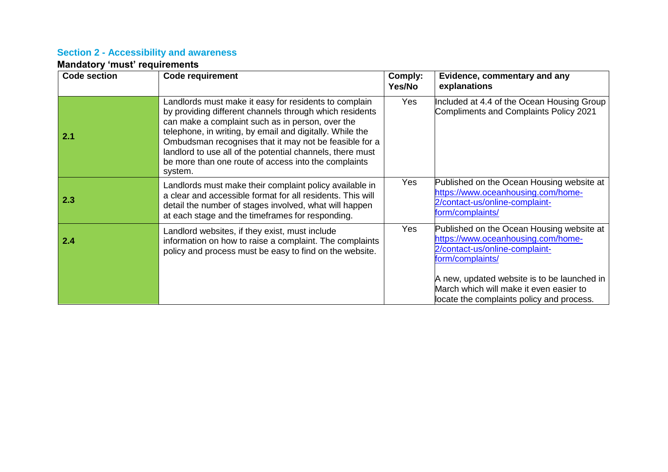### **Section 2 - Accessibility and awareness**

| Code section | <b>Code requirement</b>                                                                                                                                                                                                                                                                                                                                                                                                    | Comply:<br>Yes/No | Evidence, commentary and any<br>explanations                                                                                          |
|--------------|----------------------------------------------------------------------------------------------------------------------------------------------------------------------------------------------------------------------------------------------------------------------------------------------------------------------------------------------------------------------------------------------------------------------------|-------------------|---------------------------------------------------------------------------------------------------------------------------------------|
| 2.1          | Landlords must make it easy for residents to complain<br>by providing different channels through which residents<br>can make a complaint such as in person, over the<br>telephone, in writing, by email and digitally. While the<br>Ombudsman recognises that it may not be feasible for a<br>landlord to use all of the potential channels, there must<br>be more than one route of access into the complaints<br>system. | <b>Yes</b>        | Included at 4.4 of the Ocean Housing Group<br><b>Compliments and Complaints Policy 2021</b>                                           |
| 2.3          | Landlords must make their complaint policy available in<br>a clear and accessible format for all residents. This will<br>detail the number of stages involved, what will happen<br>at each stage and the timeframes for responding.                                                                                                                                                                                        | <b>Yes</b>        | Published on the Ocean Housing website at<br>https://www.oceanhousing.com/home-<br>2/contact-us/online-complaint-<br>form/complaints/ |
| 2.4          | Landlord websites, if they exist, must include<br>information on how to raise a complaint. The complaints<br>policy and process must be easy to find on the website.                                                                                                                                                                                                                                                       | <b>Yes</b>        | Published on the Ocean Housing website at<br>https://www.oceanhousing.com/home-<br>2/contact-us/online-complaint-<br>form/complaints/ |
|              |                                                                                                                                                                                                                                                                                                                                                                                                                            |                   | A new, updated website is to be launched in<br>March which will make it even easier to<br>locate the complaints policy and process.   |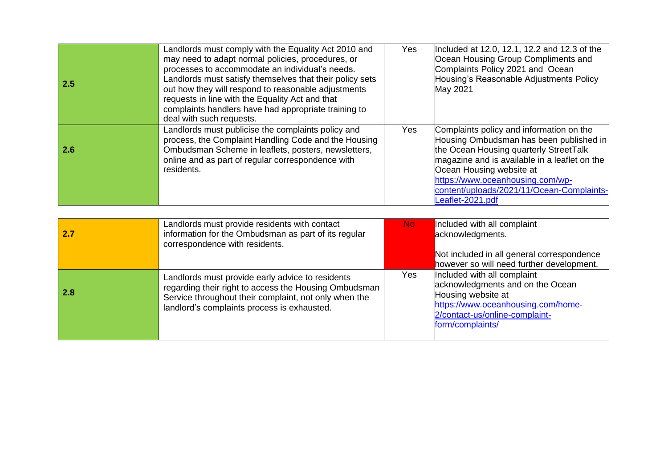| 2.5 | Landlords must comply with the Equality Act 2010 and<br>may need to adapt normal policies, procedures, or<br>processes to accommodate an individual's needs.<br>Landlords must satisfy themselves that their policy sets<br>out how they will respond to reasonable adjustments<br>requests in line with the Equality Act and that<br>complaints handlers have had appropriate training to | Yes. | Included at 12.0, 12.1, 12.2 and 12.3 of the<br>Ocean Housing Group Compliments and<br>Complaints Policy 2021 and Ocean<br>Housing's Reasonable Adjustments Policy<br>May 2021                                                                                                              |
|-----|--------------------------------------------------------------------------------------------------------------------------------------------------------------------------------------------------------------------------------------------------------------------------------------------------------------------------------------------------------------------------------------------|------|---------------------------------------------------------------------------------------------------------------------------------------------------------------------------------------------------------------------------------------------------------------------------------------------|
|     | deal with such requests.                                                                                                                                                                                                                                                                                                                                                                   |      |                                                                                                                                                                                                                                                                                             |
| 2.6 | Landlords must publicise the complaints policy and<br>process, the Complaint Handling Code and the Housing<br>Ombudsman Scheme in leaflets, posters, newsletters,<br>online and as part of regular correspondence with<br>residents.                                                                                                                                                       | Yes  | Complaints policy and information on the<br>Housing Ombudsman has been published in<br>the Ocean Housing quarterly StreetTalk<br>magazine and is available in a leaflet on the<br>Ocean Housing website at<br>https://www.oceanhousing.com/wp-<br>content/uploads/2021/11/Ocean-Complaints- |
|     |                                                                                                                                                                                                                                                                                                                                                                                            |      | Leaflet-2021.pdf                                                                                                                                                                                                                                                                            |

| 2.7 | Landlords must provide residents with contact<br>information for the Ombudsman as part of its regular<br>correspondence with residents.                                                                           | No. | Included with all complaint<br>acknowledgments.<br>Not included in all general correspondence<br>however so will need further development.                                        |
|-----|-------------------------------------------------------------------------------------------------------------------------------------------------------------------------------------------------------------------|-----|-----------------------------------------------------------------------------------------------------------------------------------------------------------------------------------|
| 2.8 | Landlords must provide early advice to residents<br>regarding their right to access the Housing Ombudsman<br>Service throughout their complaint, not only when the<br>landlord's complaints process is exhausted. | Yes | Included with all complaint<br>acknowledgments and on the Ocean<br>Housing website at<br>https://www.oceanhousing.com/home-<br>2/contact-us/online-complaint-<br>form/complaints/ |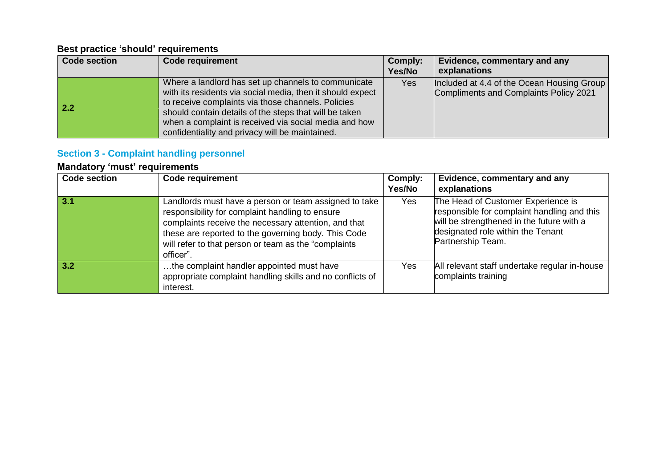| <b>Code section</b> | <b>Code requirement</b>                                                                                                                                                                                                                                                                                                                       | Comply:<br>Yes/No | Evidence, commentary and any<br>explanations                                         |
|---------------------|-----------------------------------------------------------------------------------------------------------------------------------------------------------------------------------------------------------------------------------------------------------------------------------------------------------------------------------------------|-------------------|--------------------------------------------------------------------------------------|
| 2.2                 | Where a landlord has set up channels to communicate<br>with its residents via social media, then it should expect<br>to receive complaints via those channels. Policies<br>should contain details of the steps that will be taken<br>when a complaint is received via social media and how<br>confidentiality and privacy will be maintained. | Yes               | Included at 4.4 of the Ocean Housing Group<br>Compliments and Complaints Policy 2021 |

# **Section 3 - Complaint handling personnel**

| <b>Code section</b> | <b>Code requirement</b>                                                                                                                                                                                                                                                                       | Comply:<br>Yes/No | Evidence, commentary and any<br>explanations                                                                                                                                             |
|---------------------|-----------------------------------------------------------------------------------------------------------------------------------------------------------------------------------------------------------------------------------------------------------------------------------------------|-------------------|------------------------------------------------------------------------------------------------------------------------------------------------------------------------------------------|
| 3.1                 | Landlords must have a person or team assigned to take<br>responsibility for complaint handling to ensure<br>complaints receive the necessary attention, and that<br>these are reported to the governing body. This Code<br>will refer to that person or team as the "complaints"<br>officer". | Yes               | The Head of Customer Experience is<br>responsible for complaint handling and this<br>will be strengthened in the future with a<br>designated role within the Tenant<br>Partnership Team. |
| 3.2                 | the complaint handler appointed must have<br>appropriate complaint handling skills and no conflicts of<br>interest.                                                                                                                                                                           | Yes               | All relevant staff undertake regular in-house<br>complaints training                                                                                                                     |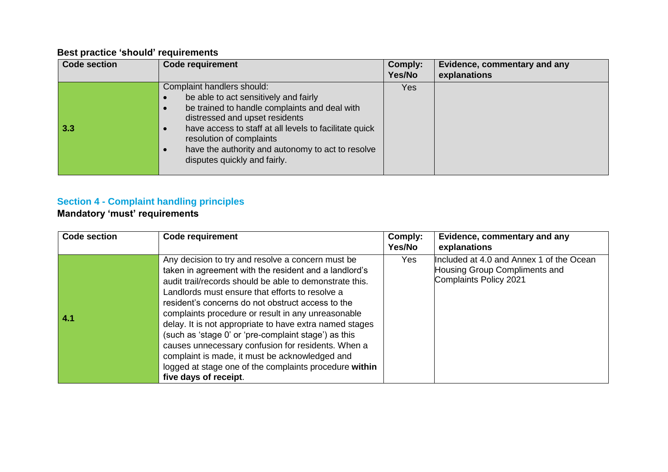| <b>Code section</b> | <b>Code requirement</b>                                                                                                                                                                                                                                                                                                                                          | Comply:<br>Yes/No | Evidence, commentary and any<br>explanations |
|---------------------|------------------------------------------------------------------------------------------------------------------------------------------------------------------------------------------------------------------------------------------------------------------------------------------------------------------------------------------------------------------|-------------------|----------------------------------------------|
| 3.3                 | Complaint handlers should:<br>be able to act sensitively and fairly<br>c<br>be trained to handle complaints and deal with<br>$\bullet$<br>distressed and upset residents<br>have access to staff at all levels to facilitate quick<br>resolution of complaints<br>have the authority and autonomy to act to resolve<br>$\bullet$<br>disputes quickly and fairly. | Yes:              |                                              |

# **Section 4 - Complaint handling principles**

| <b>Code section</b> | <b>Code requirement</b>                                                                                                                                                                                                                                                                                                                                                                                                                                                                                                                                                                                                                           | Comply:<br>Yes/No | Evidence, commentary and any<br>explanations                                                        |
|---------------------|---------------------------------------------------------------------------------------------------------------------------------------------------------------------------------------------------------------------------------------------------------------------------------------------------------------------------------------------------------------------------------------------------------------------------------------------------------------------------------------------------------------------------------------------------------------------------------------------------------------------------------------------------|-------------------|-----------------------------------------------------------------------------------------------------|
| 4.1                 | Any decision to try and resolve a concern must be<br>taken in agreement with the resident and a landlord's<br>audit trail/records should be able to demonstrate this.<br>Landlords must ensure that efforts to resolve a<br>resident's concerns do not obstruct access to the<br>complaints procedure or result in any unreasonable<br>delay. It is not appropriate to have extra named stages<br>(such as 'stage 0' or 'pre-complaint stage') as this<br>causes unnecessary confusion for residents. When a<br>complaint is made, it must be acknowledged and<br>logged at stage one of the complaints procedure within<br>five days of receipt. | Yes.              | Included at 4.0 and Annex 1 of the Ocean<br>Housing Group Compliments and<br>Complaints Policy 2021 |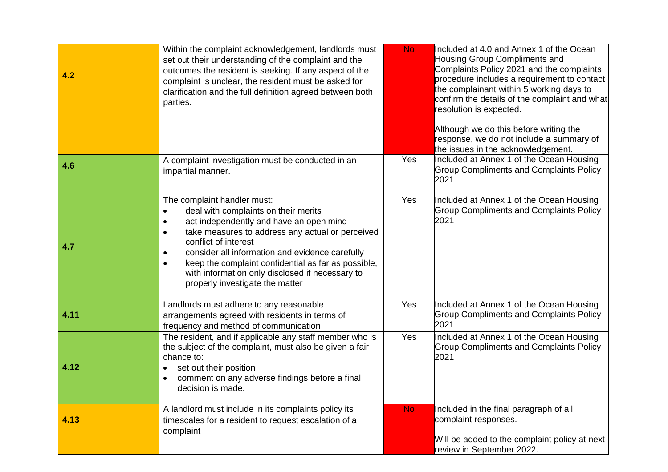| 4.2  | Within the complaint acknowledgement, landlords must<br>set out their understanding of the complaint and the<br>outcomes the resident is seeking. If any aspect of the<br>complaint is unclear, the resident must be asked for<br>clarification and the full definition agreed between both<br>parties.                                                                                                                                                     | <b>No</b> | Included at 4.0 and Annex 1 of the Ocean<br>Housing Group Compliments and<br>Complaints Policy 2021 and the complaints<br>procedure includes a requirement to contact<br>the complainant within 5 working days to<br>confirm the details of the complaint and what<br>resolution is expected.<br>Although we do this before writing the<br>response, we do not include a summary of<br>the issues in the acknowledgement. |
|------|-------------------------------------------------------------------------------------------------------------------------------------------------------------------------------------------------------------------------------------------------------------------------------------------------------------------------------------------------------------------------------------------------------------------------------------------------------------|-----------|---------------------------------------------------------------------------------------------------------------------------------------------------------------------------------------------------------------------------------------------------------------------------------------------------------------------------------------------------------------------------------------------------------------------------|
| 4.6  | A complaint investigation must be conducted in an<br>impartial manner.                                                                                                                                                                                                                                                                                                                                                                                      | Yes       | Included at Annex 1 of the Ocean Housing<br><b>Group Compliments and Complaints Policy</b><br>2021                                                                                                                                                                                                                                                                                                                        |
| 4.7  | The complaint handler must:<br>deal with complaints on their merits<br>$\bullet$<br>act independently and have an open mind<br>$\bullet$<br>take measures to address any actual or perceived<br>$\bullet$<br>conflict of interest<br>consider all information and evidence carefully<br>$\bullet$<br>keep the complaint confidential as far as possible,<br>$\bullet$<br>with information only disclosed if necessary to<br>properly investigate the matter | Yes       | Included at Annex 1 of the Ocean Housing<br><b>Group Compliments and Complaints Policy</b><br>2021                                                                                                                                                                                                                                                                                                                        |
| 4.11 | Landlords must adhere to any reasonable<br>arrangements agreed with residents in terms of<br>frequency and method of communication                                                                                                                                                                                                                                                                                                                          | Yes       | Included at Annex 1 of the Ocean Housing<br><b>Group Compliments and Complaints Policy</b><br>2021                                                                                                                                                                                                                                                                                                                        |
| 4.12 | The resident, and if applicable any staff member who is<br>the subject of the complaint, must also be given a fair<br>chance to:<br>set out their position<br>$\bullet$<br>comment on any adverse findings before a final<br>$\bullet$<br>decision is made.                                                                                                                                                                                                 | Yes       | Included at Annex 1 of the Ocean Housing<br><b>Group Compliments and Complaints Policy</b><br>2021                                                                                                                                                                                                                                                                                                                        |
| 4.13 | A landlord must include in its complaints policy its<br>timescales for a resident to request escalation of a<br>complaint                                                                                                                                                                                                                                                                                                                                   | <b>No</b> | Included in the final paragraph of all<br>complaint responses.<br>Will be added to the complaint policy at next<br>review in September 2022.                                                                                                                                                                                                                                                                              |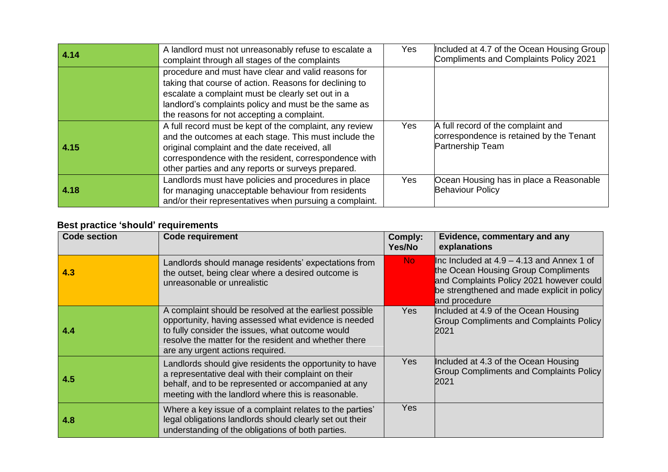| 4.14 | A landlord must not unreasonably refuse to escalate a<br>complaint through all stages of the complaints                                                                                                                                                                          | Yes | Included at 4.7 of the Ocean Housing Group<br>Compliments and Complaints Policy 2021               |
|------|----------------------------------------------------------------------------------------------------------------------------------------------------------------------------------------------------------------------------------------------------------------------------------|-----|----------------------------------------------------------------------------------------------------|
|      | procedure and must have clear and valid reasons for<br>taking that course of action. Reasons for declining to<br>escalate a complaint must be clearly set out in a<br>landlord's complaints policy and must be the same as<br>the reasons for not accepting a complaint.         |     |                                                                                                    |
| 4.15 | A full record must be kept of the complaint, any review<br>and the outcomes at each stage. This must include the<br>original complaint and the date received, all<br>correspondence with the resident, correspondence with<br>other parties and any reports or surveys prepared. | Yes | A full record of the complaint and<br>correspondence is retained by the Tenant<br>Partnership Team |
| 4.18 | Landlords must have policies and procedures in place<br>for managing unacceptable behaviour from residents<br>and/or their representatives when pursuing a complaint.                                                                                                            | Yes | Ocean Housing has in place a Reasonable<br><b>Behaviour Policy</b>                                 |

| <b>Code section</b> | <b>Code requirement</b>                                                                                                                                                                                                                                          | Comply:<br>Yes/No | Evidence, commentary and any<br>explanations                                                                                                                                                   |
|---------------------|------------------------------------------------------------------------------------------------------------------------------------------------------------------------------------------------------------------------------------------------------------------|-------------------|------------------------------------------------------------------------------------------------------------------------------------------------------------------------------------------------|
| 4.3                 | Landlords should manage residents' expectations from<br>the outset, being clear where a desired outcome is<br>unreasonable or unrealistic                                                                                                                        | No.               | Inc Included at $4.9 - 4.13$ and Annex 1 of<br>the Ocean Housing Group Compliments<br>and Complaints Policy 2021 however could<br>be strengthened and made explicit in policy<br>and procedure |
| 4.4                 | A complaint should be resolved at the earliest possible<br>opportunity, having assessed what evidence is needed<br>to fully consider the issues, what outcome would<br>resolve the matter for the resident and whether there<br>are any urgent actions required. | Yes               | Included at 4.9 of the Ocean Housing<br>Group Compliments and Complaints Policy<br>2021                                                                                                        |
| 4.5                 | Landlords should give residents the opportunity to have<br>a representative deal with their complaint on their<br>behalf, and to be represented or accompanied at any<br>meeting with the landlord where this is reasonable.                                     | <b>Yes</b>        | Included at 4.3 of the Ocean Housing<br>Group Compliments and Complaints Policy<br>2021                                                                                                        |
| 4.8                 | Where a key issue of a complaint relates to the parties'<br>legal obligations landlords should clearly set out their<br>understanding of the obligations of both parties.                                                                                        | Yes               |                                                                                                                                                                                                |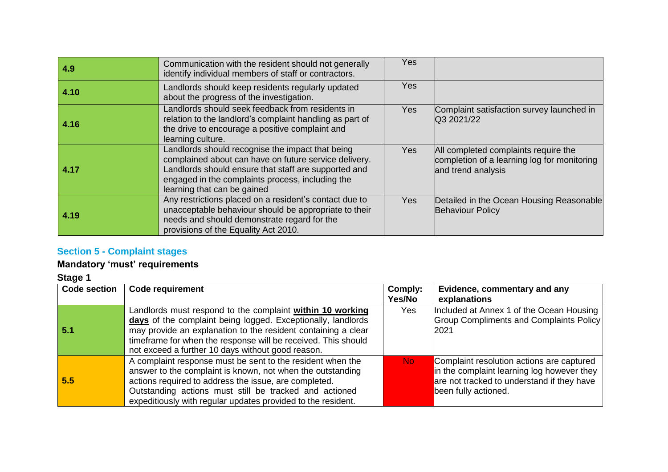| 4.9  | Communication with the resident should not generally<br>identify individual members of staff or contractors.                                                                                                                                         | Yes        |                                                                                                           |
|------|------------------------------------------------------------------------------------------------------------------------------------------------------------------------------------------------------------------------------------------------------|------------|-----------------------------------------------------------------------------------------------------------|
| 4.10 | Landlords should keep residents regularly updated<br>about the progress of the investigation.                                                                                                                                                        | Yes        |                                                                                                           |
| 4.16 | Landlords should seek feedback from residents in<br>relation to the landlord's complaint handling as part of<br>the drive to encourage a positive complaint and<br>learning culture.                                                                 | <b>Yes</b> | Complaint satisfaction survey launched in<br>Q3 2021/22                                                   |
| 4.17 | Landlords should recognise the impact that being<br>complained about can have on future service delivery.<br>Landlords should ensure that staff are supported and<br>engaged in the complaints process, including the<br>learning that can be gained | Yes        | All completed complaints require the<br>completion of a learning log for monitoring<br>and trend analysis |
| 4.19 | Any restrictions placed on a resident's contact due to<br>unacceptable behaviour should be appropriate to their<br>needs and should demonstrate regard for the<br>provisions of the Equality Act 2010.                                               | Yes        | Detailed in the Ocean Housing Reasonable<br><b>Behaviour Policy</b>                                       |

# **Section 5 - Complaint stages**

## **Mandatory 'must' requirements**

**Stage 1**

| <b>Code section</b> | <b>Code requirement</b>                                                                                                                                                                                                                                                                                          | Comply:<br>Yes/No | Evidence, commentary and any<br>explanations                                                                                                                  |
|---------------------|------------------------------------------------------------------------------------------------------------------------------------------------------------------------------------------------------------------------------------------------------------------------------------------------------------------|-------------------|---------------------------------------------------------------------------------------------------------------------------------------------------------------|
| 5.1                 | Landlords must respond to the complaint within 10 working<br>days of the complaint being logged. Exceptionally, landlords<br>may provide an explanation to the resident containing a clear<br>timeframe for when the response will be received. This should<br>not exceed a further 10 days without good reason. | Yes               | Included at Annex 1 of the Ocean Housing<br>Group Compliments and Complaints Policy<br>2021                                                                   |
| 5.5                 | A complaint response must be sent to the resident when the<br>answer to the complaint is known, not when the outstanding<br>actions required to address the issue, are completed.<br>Outstanding actions must still be tracked and actioned<br>expeditiously with regular updates provided to the resident.      | No.               | Complaint resolution actions are captured<br>in the complaint learning log however they<br>are not tracked to understand if they have<br>been fully actioned. |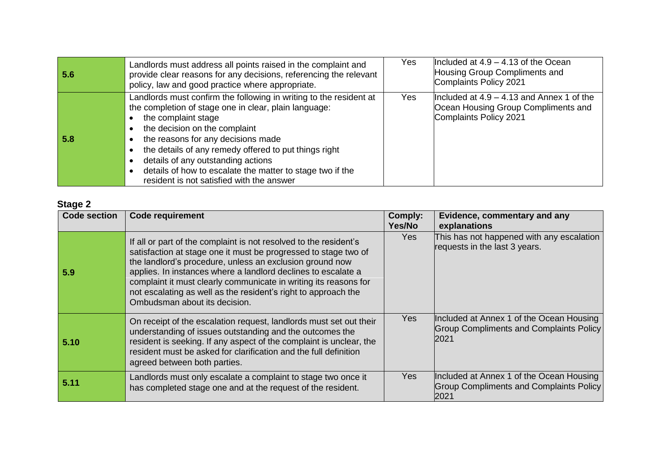| 5.6 | Landlords must address all points raised in the complaint and<br>provide clear reasons for any decisions, referencing the relevant<br>policy, law and good practice where appropriate.                                                                                                                                                                                                                                             | Yes | Included at $4.9 - 4.13$ of the Ocean<br>Housing Group Compliments and<br>Complaints Policy 2021             |
|-----|------------------------------------------------------------------------------------------------------------------------------------------------------------------------------------------------------------------------------------------------------------------------------------------------------------------------------------------------------------------------------------------------------------------------------------|-----|--------------------------------------------------------------------------------------------------------------|
| 5.8 | Landlords must confirm the following in writing to the resident at<br>the completion of stage one in clear, plain language:<br>the complaint stage<br>the decision on the complaint<br>the reasons for any decisions made<br>the details of any remedy offered to put things right<br>details of any outstanding actions<br>details of how to escalate the matter to stage two if the<br>resident is not satisfied with the answer | Yes | Included at $4.9 - 4.13$ and Annex 1 of the<br>Ocean Housing Group Compliments and<br>Complaints Policy 2021 |

# **Stage 2**

| <b>Code section</b> | <b>Code requirement</b>                                                                                                                                                                                                                                                                                                                                                                                                                  | Comply:<br>Yes/No | Evidence, commentary and any<br>explanations                                                       |
|---------------------|------------------------------------------------------------------------------------------------------------------------------------------------------------------------------------------------------------------------------------------------------------------------------------------------------------------------------------------------------------------------------------------------------------------------------------------|-------------------|----------------------------------------------------------------------------------------------------|
| 5.9                 | If all or part of the complaint is not resolved to the resident's<br>satisfaction at stage one it must be progressed to stage two of<br>the landlord's procedure, unless an exclusion ground now<br>applies. In instances where a landlord declines to escalate a<br>complaint it must clearly communicate in writing its reasons for<br>not escalating as well as the resident's right to approach the<br>Ombudsman about its decision. | Yes               | This has not happened with any escalation<br>requests in the last 3 years.                         |
| 5.10                | On receipt of the escalation request, landlords must set out their<br>understanding of issues outstanding and the outcomes the<br>resident is seeking. If any aspect of the complaint is unclear, the<br>resident must be asked for clarification and the full definition<br>agreed between both parties.                                                                                                                                | Yes               | Included at Annex 1 of the Ocean Housing<br>Group Compliments and Complaints Policy<br><b>2021</b> |
| 5.11                | Landlords must only escalate a complaint to stage two once it<br>has completed stage one and at the request of the resident.                                                                                                                                                                                                                                                                                                             | Yes               | Included at Annex 1 of the Ocean Housing<br><b>Group Compliments and Complaints Policy</b><br>2021 |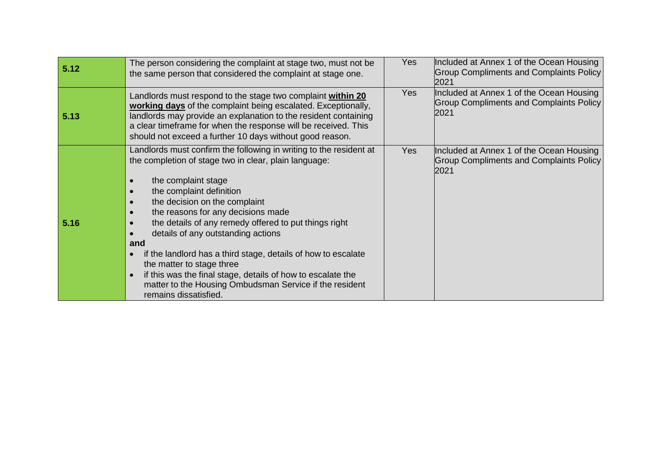| 5.12 | The person considering the complaint at stage two, must not be<br>the same person that considered the complaint at stage one.                                                                                                                                                                                                                                                                                                                                                                                                                                                                                | <b>Yes</b> | Included at Annex 1 of the Ocean Housing<br><b>Group Compliments and Complaints Policy</b><br>2021 |
|------|--------------------------------------------------------------------------------------------------------------------------------------------------------------------------------------------------------------------------------------------------------------------------------------------------------------------------------------------------------------------------------------------------------------------------------------------------------------------------------------------------------------------------------------------------------------------------------------------------------------|------------|----------------------------------------------------------------------------------------------------|
| 5.13 | Landlords must respond to the stage two complaint within 20<br>working days of the complaint being escalated. Exceptionally,<br>landlords may provide an explanation to the resident containing<br>a clear timeframe for when the response will be received. This<br>should not exceed a further 10 days without good reason.                                                                                                                                                                                                                                                                                | Yes        | Included at Annex 1 of the Ocean Housing<br><b>Group Compliments and Complaints Policy</b><br>2021 |
| 5.16 | Landlords must confirm the following in writing to the resident at<br>the completion of stage two in clear, plain language:<br>the complaint stage<br>the complaint definition<br>the decision on the complaint<br>the reasons for any decisions made<br>the details of any remedy offered to put things right<br>details of any outstanding actions<br>and<br>if the landlord has a third stage, details of how to escalate<br>the matter to stage three<br>if this was the final stage, details of how to escalate the<br>matter to the Housing Ombudsman Service if the resident<br>remains dissatisfied. | <b>Yes</b> | Included at Annex 1 of the Ocean Housing<br><b>Group Compliments and Complaints Policy</b><br>2021 |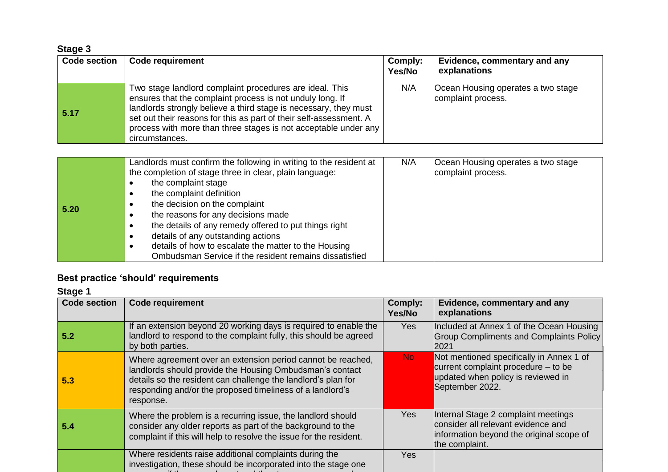| Stage 3 |  |
|---------|--|
|---------|--|

| <b>Code section</b> | <b>Code requirement</b>                                                                                                                                                                                                                                                                                                                             | Comply:<br>Yes/No | Evidence, commentary and any<br>explanations             |
|---------------------|-----------------------------------------------------------------------------------------------------------------------------------------------------------------------------------------------------------------------------------------------------------------------------------------------------------------------------------------------------|-------------------|----------------------------------------------------------|
| 5.17                | Two stage landlord complaint procedures are ideal. This<br>ensures that the complaint process is not unduly long. If<br>landlords strongly believe a third stage is necessary, they must<br>set out their reasons for this as part of their self-assessment. A<br>process with more than three stages is not acceptable under any<br>circumstances. | N/A               | Ocean Housing operates a two stage<br>complaint process. |

**Stage 1**

| <b>Code section</b> | <b>Code requirement</b>                                                                                                                                                                                                                                            | <b>Comply:</b><br>Yes/No | Evidence, commentary and any<br>explanations                                                                                             |
|---------------------|--------------------------------------------------------------------------------------------------------------------------------------------------------------------------------------------------------------------------------------------------------------------|--------------------------|------------------------------------------------------------------------------------------------------------------------------------------|
| 5.2                 | If an extension beyond 20 working days is required to enable the<br>landlord to respond to the complaint fully, this should be agreed<br>by both parties.                                                                                                          | <b>Yes</b>               | Included at Annex 1 of the Ocean Housing<br><b>Group Compliments and Complaints Policy</b><br>2021                                       |
| 5.3                 | Where agreement over an extension period cannot be reached,<br>landlords should provide the Housing Ombudsman's contact<br>details so the resident can challenge the landlord's plan for<br>responding and/or the proposed timeliness of a landlord's<br>response. | <b>No</b>                | Not mentioned specifically in Annex 1 of<br>current complaint procedure - to be<br>updated when policy is reviewed in<br>September 2022. |
| 5.4                 | Where the problem is a recurring issue, the landlord should<br>consider any older reports as part of the background to the<br>complaint if this will help to resolve the issue for the resident.                                                                   | Yes                      | Internal Stage 2 complaint meetings<br>consider all relevant evidence and<br>information beyond the original scope of<br>the complaint.  |
|                     | Where residents raise additional complaints during the<br>investigation, these should be incorporated into the stage one                                                                                                                                           | <b>Yes</b>               |                                                                                                                                          |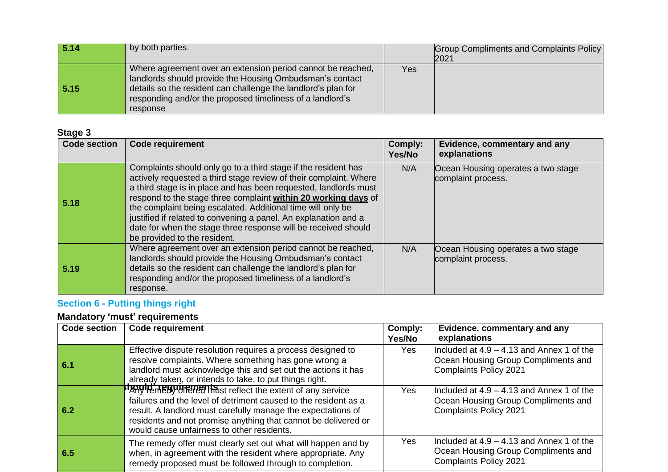| 5.14 | by both parties.                                                                                                                                                                                                                                                  |     | Group Compliments and Complaints Policy<br>2021 |
|------|-------------------------------------------------------------------------------------------------------------------------------------------------------------------------------------------------------------------------------------------------------------------|-----|-------------------------------------------------|
| 5.15 | Where agreement over an extension period cannot be reached,<br>landlords should provide the Housing Ombudsman's contact<br>details so the resident can challenge the landlord's plan for<br>responding and/or the proposed timeliness of a landlord's<br>response | Yes |                                                 |

### **Stage 3**

| <b>Code section</b> | <b>Code requirement</b>                                                                                                                                                                                                                                                                                                                                                                                                                                                                                       | Comply:<br>Yes/No | Evidence, commentary and any<br>explanations             |
|---------------------|---------------------------------------------------------------------------------------------------------------------------------------------------------------------------------------------------------------------------------------------------------------------------------------------------------------------------------------------------------------------------------------------------------------------------------------------------------------------------------------------------------------|-------------------|----------------------------------------------------------|
| 5.18                | Complaints should only go to a third stage if the resident has<br>actively requested a third stage review of their complaint. Where<br>a third stage is in place and has been requested, landlords must<br>respond to the stage three complaint within 20 working days of<br>the complaint being escalated. Additional time will only be<br>justified if related to convening a panel. An explanation and a<br>date for when the stage three response will be received should<br>be provided to the resident. | N/A               | Ocean Housing operates a two stage<br>complaint process. |
| 5.19                | Where agreement over an extension period cannot be reached,<br>landlords should provide the Housing Ombudsman's contact<br>details so the resident can challenge the landlord's plan for<br>responding and/or the proposed timeliness of a landlord's<br>response.                                                                                                                                                                                                                                            | N/A               | Ocean Housing operates a two stage<br>complaint process. |

# **Section 6 - Putting things right**

| <b>Code section</b> | <b>Code requirement</b>                                                                                                                                                                                                                                                                                        | Comply:<br>Yes/No | Evidence, commentary and any<br>explanations                                                                 |
|---------------------|----------------------------------------------------------------------------------------------------------------------------------------------------------------------------------------------------------------------------------------------------------------------------------------------------------------|-------------------|--------------------------------------------------------------------------------------------------------------|
| -6.1                | Effective dispute resolution requires a process designed to<br>resolve complaints. Where something has gone wrong a<br>landlord must acknowledge this and set out the actions it has<br>already taken, or intends to take, to put things right.                                                                | Yes               | Included at $4.9 - 4.13$ and Annex 1 of the<br>Ocean Housing Group Compliments and<br>Complaints Policy 2021 |
| 6.2                 | <b>DAYIA Requirements</b> reflect the extent of any service<br>failures and the level of detriment caused to the resident as a<br>result. A landlord must carefully manage the expectations of<br>residents and not promise anything that cannot be delivered or<br>would cause unfairness to other residents. | Yes.              | Included at $4.9 - 4.13$ and Annex 1 of the<br>Ocean Housing Group Compliments and<br>Complaints Policy 2021 |
| 6.5                 | The remedy offer must clearly set out what will happen and by<br>when, in agreement with the resident where appropriate. Any<br>remedy proposed must be followed through to completion.                                                                                                                        | Yes               | Included at $4.9 - 4.13$ and Annex 1 of the<br>Ocean Housing Group Compliments and<br>Complaints Policy 2021 |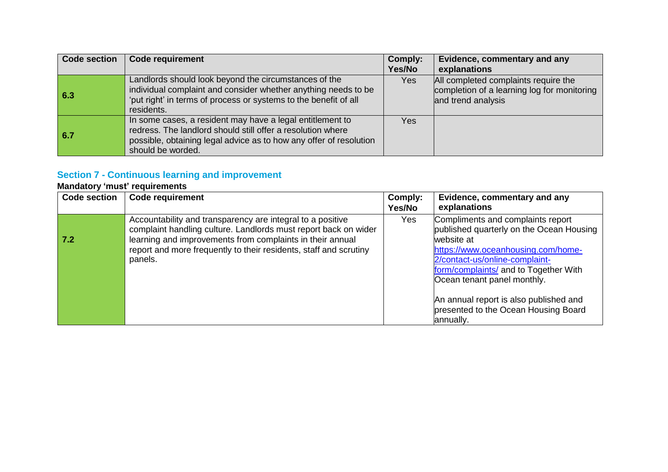| <b>Code section</b> | <b>Code requirement</b>                                                                                                                                                                                             | Comply:<br>Yes/No | Evidence, commentary and any<br>explanations                                                              |
|---------------------|---------------------------------------------------------------------------------------------------------------------------------------------------------------------------------------------------------------------|-------------------|-----------------------------------------------------------------------------------------------------------|
| 6.3                 | Landlords should look beyond the circumstances of the<br>individual complaint and consider whether anything needs to be<br>'put right' in terms of process or systems to the benefit of all<br>residents.           | Yes               | All completed complaints require the<br>completion of a learning log for monitoring<br>and trend analysis |
| 6.7                 | In some cases, a resident may have a legal entitlement to<br>redress. The landlord should still offer a resolution where<br>possible, obtaining legal advice as to how any offer of resolution<br>should be worded. | Yes               |                                                                                                           |

### **Section 7 - Continuous learning and improvement**

| <b>Code section</b> | <b>Code requirement</b>                                                                                                                                                                                                                                                    | Comply:<br>Yes/No | Evidence, commentary and any<br>explanations                                                                                                                                                                                                                                                                                               |
|---------------------|----------------------------------------------------------------------------------------------------------------------------------------------------------------------------------------------------------------------------------------------------------------------------|-------------------|--------------------------------------------------------------------------------------------------------------------------------------------------------------------------------------------------------------------------------------------------------------------------------------------------------------------------------------------|
| 7.2                 | Accountability and transparency are integral to a positive<br>complaint handling culture. Landlords must report back on wider<br>learning and improvements from complaints in their annual<br>report and more frequently to their residents, staff and scrutiny<br>panels. | Yes               | Compliments and complaints report<br>published quarterly on the Ocean Housing<br>website at<br>https://www.oceanhousing.com/home-<br>2/contact-us/online-complaint-<br>form/complaints/ and to Together With<br>Ocean tenant panel monthly.<br>An annual report is also published and<br>presented to the Ocean Housing Board<br>annually. |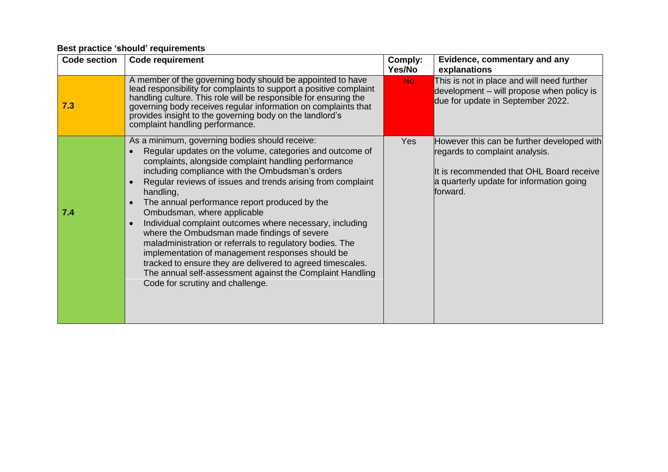| <b>Code section</b> | <b>Code requirement</b>                                                                                                                                                                                                                                                                                                                                                                                                                                                                                                                                                                                                                                                                                                                                                                   | Comply:<br>Yes/No | Evidence, commentary and any<br>explanations                                                                                                                                     |
|---------------------|-------------------------------------------------------------------------------------------------------------------------------------------------------------------------------------------------------------------------------------------------------------------------------------------------------------------------------------------------------------------------------------------------------------------------------------------------------------------------------------------------------------------------------------------------------------------------------------------------------------------------------------------------------------------------------------------------------------------------------------------------------------------------------------------|-------------------|----------------------------------------------------------------------------------------------------------------------------------------------------------------------------------|
| 7.3                 | A member of the governing body should be appointed to have<br>lead responsibility for complaints to support a positive complaint<br>handling culture. This role will be responsible for ensuring the<br>governing body receives regular information on complaints that<br>provides insight to the governing body on the landlord's<br>complaint handling performance.                                                                                                                                                                                                                                                                                                                                                                                                                     | No.               | This is not in place and will need further<br>development - will propose when policy is<br>due for update in September 2022.                                                     |
| 7.4                 | As a minimum, governing bodies should receive:<br>Regular updates on the volume, categories and outcome of<br>complaints, alongside complaint handling performance<br>including compliance with the Ombudsman's orders<br>Regular reviews of issues and trends arising from complaint<br>handling,<br>The annual performance report produced by the<br>Ombudsman, where applicable<br>Individual complaint outcomes where necessary, including<br>$\bullet$<br>where the Ombudsman made findings of severe<br>maladministration or referrals to regulatory bodies. The<br>implementation of management responses should be<br>tracked to ensure they are delivered to agreed timescales.<br>The annual self-assessment against the Complaint Handling<br>Code for scrutiny and challenge. | Yes               | However this can be further developed with<br>regards to complaint analysis.<br>It is recommended that OHL Board receive<br>a quarterly update for information going<br>forward. |